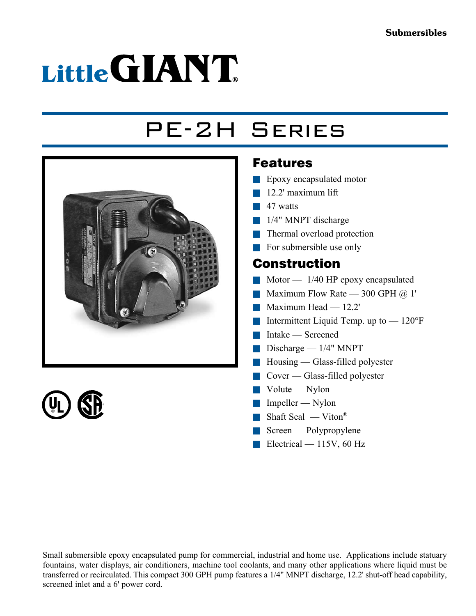# Little GIANT

## PE-2H Series





#### Features

- $\blacksquare$  Epoxy encapsulated motor
- $\blacksquare$  12.2' maximum lift
- $\blacksquare$  47 watts
- $1/4$ " MNPT discharge
- $\blacksquare$  Thermal overload protection
- $\blacksquare$  For submersible use only

#### Construction

- $\blacksquare$  Motor 1/40 HP epoxy encapsulated
- **Naximum Flow Rate 300 GPH**  $\omega$  **1'**
- $\blacksquare$  Maximum Head 12.2'
- **n** Intermittent Liquid Temp. up to  $-120^{\circ}$ F
- $\blacksquare$  Intake Screened
- $\Box$  Discharge 1/4" MNPT
- $\blacksquare$  Housing Glass-filled polyester
- $\Box$  Cover Glass-filled polyester
- $\blacksquare$  Volute Nylon
- $\blacksquare$  Impeller Nylon
- $\blacksquare$  Shaft Seal Viton®
- $\blacksquare$  Screen Polypropylene
- $\blacksquare$  Electrical 115V, 60 Hz

Small submersible epoxy encapsulated pump for commercial, industrial and home use. Applications include statuary fountains, water displays, air conditioners, machine tool coolants, and many other applications where liquid must be transferred or recirculated. This compact 300 GPH pump features a 1/4" MNPT discharge, 12.2' shut-off head capability, screened inlet and a 6' power cord.